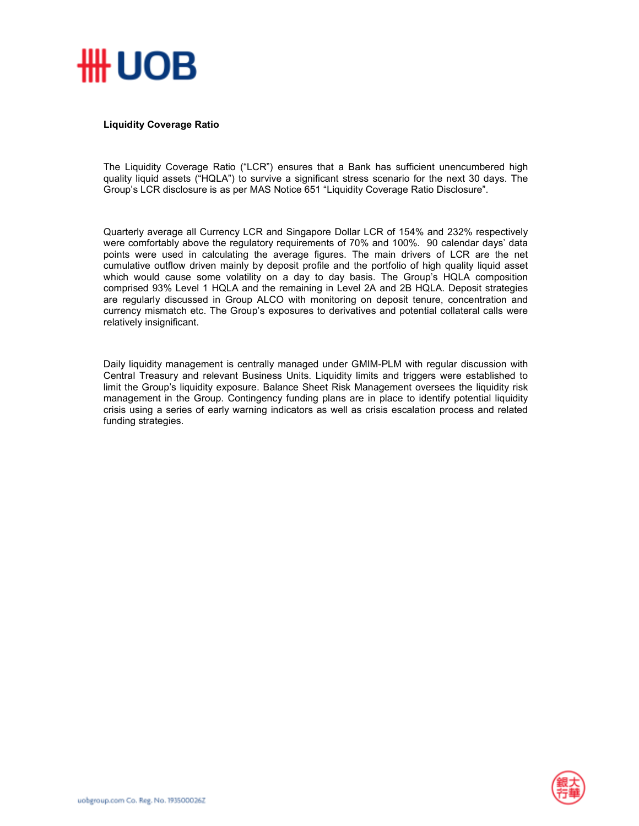

## **Liquidity Coverage Ratio**

The Liquidity Coverage Ratio ("LCR") ensures that a Bank has sufficient unencumbered high quality liquid assets ("HQLA") to survive a significant stress scenario for the next 30 days. The Group's LCR disclosure is as per MAS Notice 651 "Liquidity Coverage Ratio Disclosure".

Quarterly average all Currency LCR and Singapore Dollar LCR of 154% and 232% respectively were comfortably above the regulatory requirements of 70% and 100%. 90 calendar days' data points were used in calculating the average figures. The main drivers of LCR are the net cumulative outflow driven mainly by deposit profile and the portfolio of high quality liquid asset which would cause some volatility on a day to day basis. The Group's HQLA composition comprised 93% Level 1 HQLA and the remaining in Level 2A and 2B HQLA. Deposit strategies are regularly discussed in Group ALCO with monitoring on deposit tenure, concentration and currency mismatch etc. The Group's exposures to derivatives and potential collateral calls were relatively insignificant.

Daily liquidity management is centrally managed under GMIM-PLM with regular discussion with Central Treasury and relevant Business Units. Liquidity limits and triggers were established to limit the Group's liquidity exposure. Balance Sheet Risk Management oversees the liquidity risk management in the Group. Contingency funding plans are in place to identify potential liquidity crisis using a series of early warning indicators as well as crisis escalation process and related funding strategies.

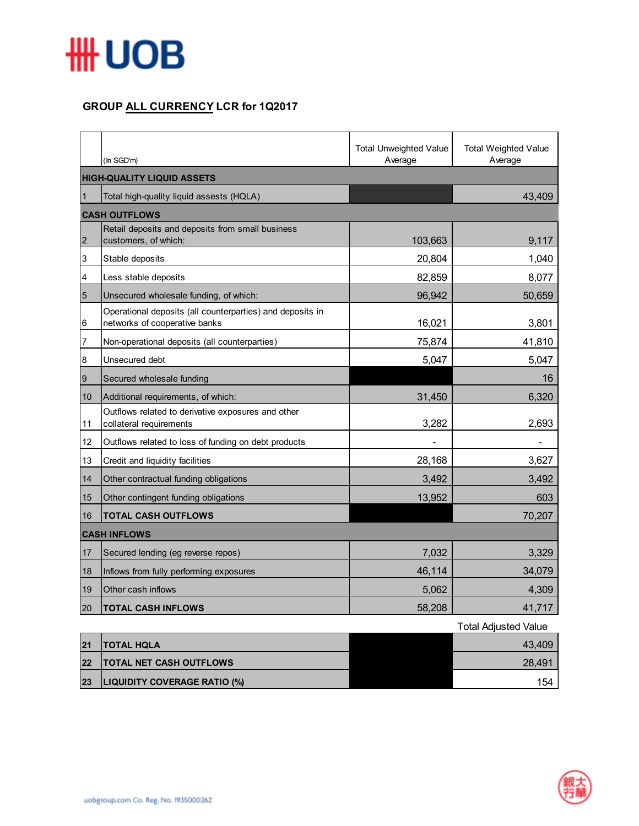

## **GROUP ALL CURRENCY LCR for 1Q2017**

|                |                                                                                            | <b>Total Unweighted Value</b> | <b>Total Weighted Value</b> |  |  |
|----------------|--------------------------------------------------------------------------------------------|-------------------------------|-----------------------------|--|--|
|                | (In SGD'm)                                                                                 | Average                       | Average                     |  |  |
|                | <b>HIGH-QUALITY LIQUID ASSETS</b>                                                          |                               |                             |  |  |
| $\vert$ 1      | Total high-quality liquid assests (HQLA)                                                   |                               | 43,409                      |  |  |
|                | <b>CASH OUTFLOWS</b>                                                                       |                               |                             |  |  |
| $\overline{2}$ | Retail deposits and deposits from small business<br>customers, of which:                   | 103,663                       | 9,117                       |  |  |
| 3              | Stable deposits                                                                            | 20,804                        | 1,040                       |  |  |
| 4              | Less stable deposits                                                                       | 82,859                        | 8,077                       |  |  |
| $\overline{5}$ | Unsecured wholesale funding, of which:                                                     | 96,942                        | 50,659                      |  |  |
| 6              | Operational deposits (all counterparties) and deposits in<br>networks of cooperative banks | 16,021                        | 3,801                       |  |  |
| 7              | Non-operational deposits (all counterparties)                                              | 75,874                        | 41,810                      |  |  |
| $\bf 8$        | Unsecured debt                                                                             | 5,047                         | 5,047                       |  |  |
| 9              | Secured wholesale funding                                                                  |                               | 16                          |  |  |
| $10$           | Additional requirements, of which:                                                         | 31,450                        | 6,320                       |  |  |
| 11             | Outflows related to derivative exposures and other<br>collateral requirements              | 3,282                         | 2,693                       |  |  |
| 12             | Outflows related to loss of funding on debt products                                       |                               |                             |  |  |
| 13             | Credit and liquidity facilities                                                            | 28,168                        | 3,627                       |  |  |
| 14             | Other contractual funding obligations                                                      | 3,492                         | 3,492                       |  |  |
| 15             | Other contingent funding obligations                                                       | 13,952                        | 603                         |  |  |
| 16             | <b>TOTAL CASH OUTFLOWS</b>                                                                 |                               | 70,207                      |  |  |
|                | <b>CASH INFLOWS</b>                                                                        |                               |                             |  |  |
| 17             | Secured lending (eg reverse repos)                                                         | 7,032                         | 3,329                       |  |  |
| 18             | Inflows from fully performing exposures                                                    | 46,114                        | 34,079                      |  |  |
| 19             | Other cash inflows                                                                         | 5,062                         | 4,309                       |  |  |
| 20             | <b>TOTAL CASH INFLOWS</b>                                                                  | 58,208                        | 41,717                      |  |  |
|                |                                                                                            |                               | <b>Total Adjusted Value</b> |  |  |

|    |                                | i otal Adjusted Value |
|----|--------------------------------|-----------------------|
| 21 | <b>ITOTAL HQLA</b>             | 43.409                |
| 22 | <b>TOTAL NET CASH OUTFLOWS</b> | 28.491                |
| 23 | LIQUIDITY COVERAGE RATIO (%)   | 154                   |